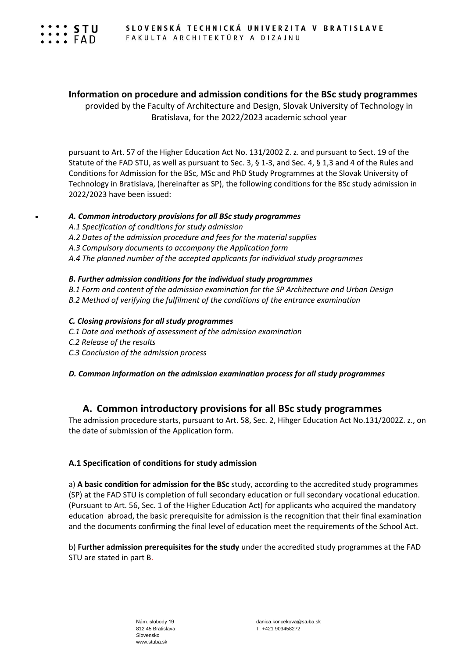

## **Information on procedure and admission conditions for the BSc study programmes**

provided by the Faculty of Architecture and Design, Slovak University of Technology in Bratislava, for the 2022/2023 academic school year

pursuant to Art. 57 of the Higher Education Act No. 131/2002 Z. z. and pursuant to Sect. 19 of the Statute of the FAD STU, as well as pursuant to Sec. 3, § 1-3, and Sec. 4, § 1,3 and 4 of the Rules and Conditions for Admission for the BSc, MSc and PhD Study Programmes at the Slovak University of Technology in Bratislava, (hereinafter as SP), the following conditions for the BSc study admission in 2022/2023 have been issued:

#### *A. Common introductory provisions for all BSc study programmes*

- *A.1 Specification of conditions for study admission*
- *A.2 Dates of the admission procedure and fees for the material supplies*
- *A.3 Compulsory documents to accompany the Application form*
- *A.4 The planned number of the accepted applicants for individual study programmes*

#### *B. Further admission conditions for the individual study programmes*

- *B.1 Form and content of the admission examination for the SP Architecture and Urban Design B.2 Method of verifying the fulfilment of the conditions of the entrance examination*
- 

## *C. Closing provisions for all study programmes*

- *C.1 Date and methods of assessment of the admission examination*
- *C.2 Release of the results*
- *C.3 Conclusion of the admission process*

*D. Common information on the admission examination process for all study programmes*

## **A. Common introductory provisions for all BSc study programmes**

The admission procedure starts, pursuant to Art. 58, Sec. 2, Hihger Education Act No.131/2002Z. z., on the date of submission of the Application form.

## **A.1 Specification of conditions for study admission**

a) **A basic condition for admission for the BSc** study, according to the accredited study programmes (SP) at the FAD STU is completion of full secondary education or full secondary vocational education. (Pursuant to Art. 56, Sec. 1 of the Higher Education Act) for applicants who acquired the mandatory education abroad, the basic prerequisite for admission is the recognition that their final examination and the documents confirming the final level of education meet the requirements of the School Act.

b) **Further admission prerequisites for the study** under the accredited study programmes at the FAD STU are stated in part B.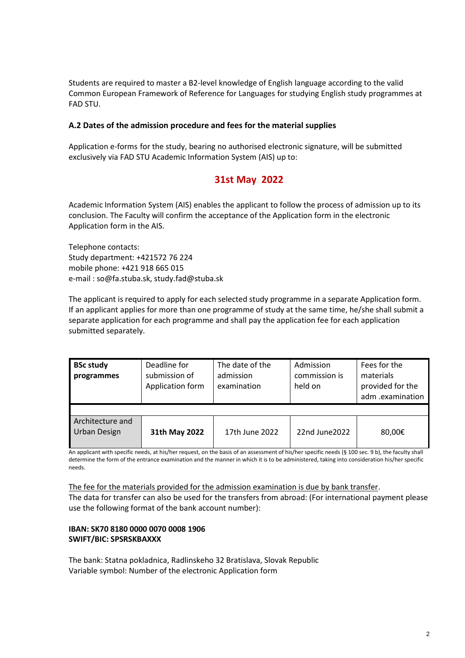Students are required to master a B2-level knowledge of English language according to the valid Common European Framework of Reference for Languages for studying English study programmes at FAD STU.

### **A.2 Dates of the admission procedure and fees for the material supplies**

Application e-forms for the study, bearing no authorised electronic signature, will be submitted exclusively via FAD STU Academic Information System (AIS) up to:

# **31st May 2022**

Academic Information System (AIS) enables the applicant to follow the process of admission up to its conclusion. The Faculty will confirm the acceptance of the Application form in the electronic Application form in the AIS.

Telephone contacts: Study department: +421572 76 224 mobile phone: +421 918 665 015 e-mail [: so@fa.stuba.sk,](mailto:so@fa.stuba.sk) study.fad@stuba.sk

The applicant is required to apply for each selected study programme in a separate Application form. If an applicant applies for more than one programme of study at the same time, he/she shall submit a separate application for each programme and shall pay the application fee for each application submitted separately.

| <b>BSc study</b><br>programmes          | Deadline for<br>submission of<br>Application form | The date of the<br>admission<br>examination | Admission<br>commission is<br>held on | Fees for the<br>materials<br>provided for the<br>adm .examination |  |
|-----------------------------------------|---------------------------------------------------|---------------------------------------------|---------------------------------------|-------------------------------------------------------------------|--|
|                                         |                                                   |                                             |                                       |                                                                   |  |
| Architecture and<br><b>Urban Design</b> | 31th May 2022                                     | 17th June 2022                              | 22nd June 2022                        | 80,00€                                                            |  |

An applicant with specific needs, at his/her request, on the basis of an assessment of his/her specific needs (§ 100 sec. 9 b), the faculty shall determine the form of the entrance examination and the manner in which it is to be administered, taking into consideration his/her specific needs.

The fee for the materials provided for the admission examination is due by bank transfer. The data for transfer can also be used for the transfers from abroad: (For international payment please use the following format of the bank account number):

## **IBAN: SK70 8180 0000 0070 0008 1906 SWIFT/BIC: SPSRSKBAXXX**

The bank: Statna pokladnica, Radlinskeho 32 Bratislava, Slovak Republic Variable symbol: Number of the electronic Application form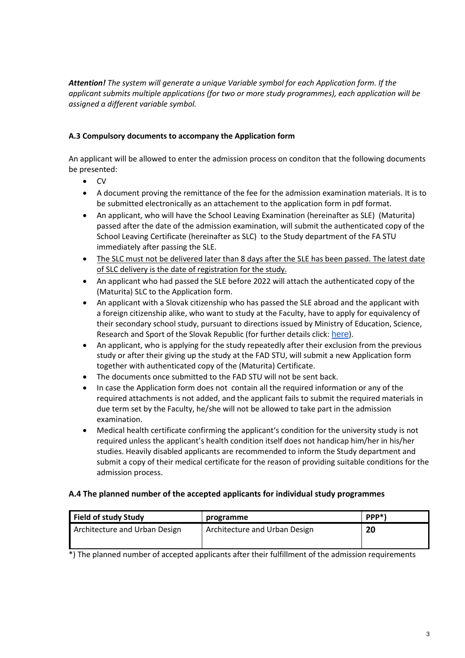*Attention! The system will generate a unique Variable symbol for each Application form. If the applicant submits multiple applications (for two or more study programmes), each application will be assigned a different variable symbol.*

## **A.3 Compulsory documents to accompany the Application form**

An applicant will be allowed to enter the admission process on conditon that the following documents be presented:

- CV
- A document proving the remittance of the fee for the admission examination materials. It is to be submitted electronically as an attachement to the application form in pdf format.
- An applicant, who will have the School Leaving Examination (hereinafter as SLE) (Maturita) passed after the date of the admission examination, will submit the authenticated copy of the School Leaving Certificate (hereinafter as SLC) to the Study department of the FA STU immediately after passing the SLE.
- The SLC must not be delivered later than 8 days after the SLE has been passed. The latest date of SLC delivery is the date of registration for the study.
- An applicant who had passed the SLE before 2022 will attach the authenticated copy of the (Maturita) SLC to the Application form.
- An applicant with a Slovak citizenship who has passed the SLE abroad and the applicant with a foreign citizenship alike, who want to study at the Faculty, have to apply for equivalency of their secondary school study, pursuant to directions issued by Ministry of Education, Science, Research and Sport of the Slovak Republic (for further details click: [here](https://www.stuba.sk/sk/informacie-pre-uchadzacov/studium-na-univerzite/uznavanie-dokladov-o-vzdelani-ziskanych-v-zahranici.html?page_id=5545)).
- An applicant, who is applying for the study repeatedly after their exclusion from the previous study or after their giving up the study at the FAD STU, will submit a new Application form together with authenticated copy of the (Maturita) Certificate.
- The documents once submitted to the FAD STU will not be sent back.
- In case the Application form does not contain all the required information or any of the required attachments is not added, and the applicant fails to submit the required materials in due term set by the Faculty, he/she will not be allowed to take part in the admission examination.
- Medical health certificate confirming the applicant's condition for the university study is not required unless the applicant's health condition itself does not handicap him/her in his/her studies. Heavily disabled applicants are recommended to inform the Study department and submit a copy of their medical certificate for the reason of providing suitable conditions for the admission process.

## **A.4 The planned number of the accepted applicants for individual study programmes**

| programme                     | PPP <sup>*</sup> |
|-------------------------------|------------------|
| Architecture and Urban Design | 20               |
|                               |                  |

\*) The planned number of accepted applicants after their fulfillment of the admission requirements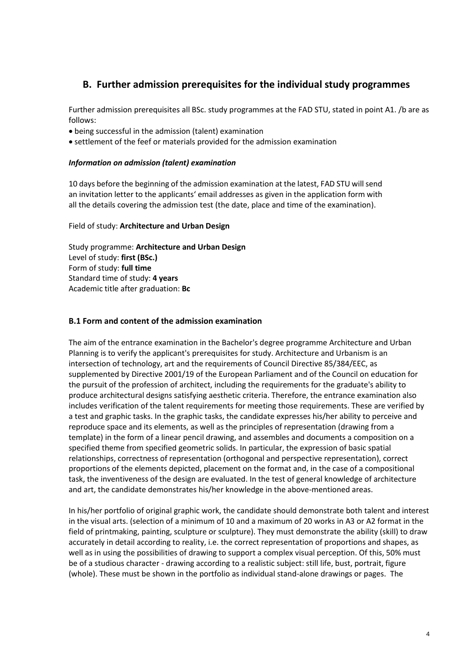# **B. Further admission prerequisites for the individual study programmes**

Further admission prerequisites all BSc. study programmes at the FAD STU, stated in point A1. /b are as follows:

- being successful in the admission (talent) examination
- settlement of the feef or materials provided for the admission examination

#### *Information on admission (talent) examination*

10 days before the beginning of the admission examination at the latest, FAD STU will send an invitation letter to the applicants' email addresses as given in the application form with all the details covering the admission test (the date, place and time of the examination).

#### Field of study: **Architecture and Urban Design**

Study programme: **Architecture and Urban Design** Level of study: **first (BSc.)** Form of study: **full time** Standard time of study: **4 years** Academic title after graduation: **Bc**

#### **B.1 Form and content of the admission examination**

The aim of the entrance examination in the Bachelor's degree programme Architecture and Urban Planning is to verify the applicant's prerequisites for study. Architecture and Urbanism is an intersection of technology, art and the requirements of Council Directive 85/384/EEC, as supplemented by Directive 2001/19 of the European Parliament and of the Council on education for the pursuit of the profession of architect, including the requirements for the graduate's ability to produce architectural designs satisfying aesthetic criteria. Therefore, the entrance examination also includes verification of the talent requirements for meeting those requirements. These are verified by a test and graphic tasks. In the graphic tasks, the candidate expresses his/her ability to perceive and reproduce space and its elements, as well as the principles of representation (drawing from a template) in the form of a linear pencil drawing, and assembles and documents a composition on a specified theme from specified geometric solids. In particular, the expression of basic spatial relationships, correctness of representation (orthogonal and perspective representation), correct proportions of the elements depicted, placement on the format and, in the case of a compositional task, the inventiveness of the design are evaluated. In the test of general knowledge of architecture and art, the candidate demonstrates his/her knowledge in the above-mentioned areas.

In his/her portfolio of original graphic work, the candidate should demonstrate both talent and interest in the visual arts. (selection of a minimum of 10 and a maximum of 20 works in A3 or A2 format in the field of printmaking, painting, sculpture or sculpture). They must demonstrate the ability (skill) to draw accurately in detail according to reality, i.e. the correct representation of proportions and shapes, as well as in using the possibilities of drawing to support a complex visual perception. Of this, 50% must be of a studious character - drawing according to a realistic subject: still life, bust, portrait, figure (whole). These must be shown in the portfolio as individual stand-alone drawings or pages. The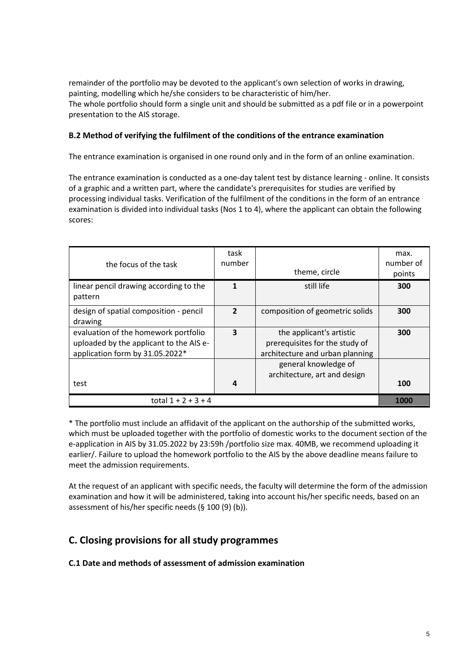remainder of the portfolio may be devoted to the applicant's own selection of works in drawing, painting, modelling which he/she considers to be characteristic of him/her. The whole portfolio should form a single unit and should be submitted as a pdf file or in a powerpoint presentation to the AIS storage.

## **B.2 Method of verifying the fulfilment of the conditions of the entrance examination**

The entrance examination is organised in one round only and in the form of an online examination.

The entrance examination is conducted as a one-day talent test by distance learning - online. It consists of a graphic and a written part, where the candidate's prerequisites for studies are verified by processing individual tasks. Verification of the fulfilment of the conditions in the form of an entrance examination is divided into individual tasks (Nos 1 to 4), where the applicant can obtain the following scores:

| the focus of the task                             | task<br>number | theme, circle                   | max.<br>number of<br>points |
|---------------------------------------------------|----------------|---------------------------------|-----------------------------|
| linear pencil drawing according to the<br>pattern | $\mathbf{1}$   | still life                      | 300                         |
| design of spatial composition - pencil<br>drawing | $\overline{2}$ | composition of geometric solids | 300                         |
| evaluation of the homework portfolio              | 3              | the applicant's artistic        | 300                         |
| uploaded by the applicant to the AIS e-           |                | prerequisites for the study of  |                             |
| application form by 31.05.2022*                   |                | architecture and urban planning |                             |
|                                                   |                | general knowledge of            |                             |
|                                                   |                | architecture, art and design    |                             |
| test                                              | 4              |                                 | 100                         |
| total $1 + 2 + 3 + 4$                             |                |                                 | 1000                        |

\* The portfolio must include an affidavit of the applicant on the authorship of the submitted works, which must be uploaded together with the portfolio of domestic works to the document section of the e-application in AIS by 31.05.2022 by 23:59h /portfolio size max. 40MB, we recommend uploading it earlier/. Failure to upload the homework portfolio to the AIS by the above deadline means failure to meet the admission requirements.

At the request of an applicant with specific needs, the faculty will determine the form of the admission examination and how it will be administered, taking into account his/her specific needs, based on an assessment of his/her specific needs (§ 100 (9) (b)).

## **C. Closing provisions for all study programmes**

**C.1 Date and methods of assessment of admission examination**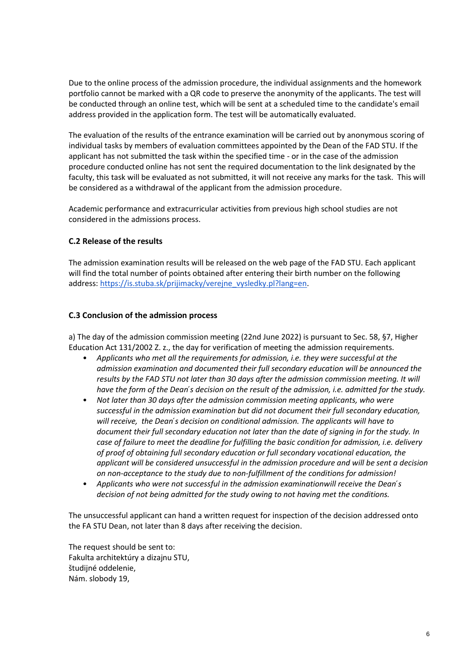Due to the online process of the admission procedure, the individual assignments and the homework portfolio cannot be marked with a QR code to preserve the anonymity of the applicants. The test will be conducted through an online test, which will be sent at a scheduled time to the candidate's email address provided in the application form. The test will be automatically evaluated.

The evaluation of the results of the entrance examination will be carried out by anonymous scoring of individual tasks by members of evaluation committees appointed by the Dean of the FAD STU. If the applicant has not submitted the task within the specified time - or in the case of the admission procedure conducted online has not sent the required documentation to the link designated by the faculty, this task will be evaluated as not submitted, it will not receive any marks for the task. This will be considered as a withdrawal of the applicant from the admission procedure.

Academic performance and extracurricular activities from previous high school studies are not considered in the admissions process.

## **C.2 Release of the results**

The admission examination results will be released on the web page of the FAD STU. Each applicant will find the total number of points obtained after entering their birth number on the following address: [https://is.stuba.sk/prijimacky/verejne\\_vysledky.pl?lang=en.](https://is.stuba.sk/prijimacky/verejne_vysledky.pl?lang=en)

#### **C.3 Conclusion of the admission process**

a) The day of the admission commission meeting (22nd June 2022) is pursuant to Sec. 58, §7, Higher Education Act 131/2002 Z. z., the day for verification of meeting the admission requirements.

- *Applicants who met all the requirements for admission, i.e. they were successful at the admission examination and documented their full secondary education will be announced the results by the FAD STU not later than 30 days after the admission commission meeting. It will have the form of the Dean ́s decision on the result of the admission, i.e. admitted for the study.*
- *Not later than 30 days after the admission commission meeting applicants, who were successful in the admission examination but did not document their full secondary education, will receive, the Dean ́s decision on conditional admission. The applicants will have to document their full secondary education not later than the date of signing in for the study. In case of failure to meet the deadline for fulfilling the basic condition for admission, i.e. delivery of proof of obtaining full secondary education or full secondary vocational education, the applicant will be considered unsuccessful in the admission procedure and will be sent a decision on non-acceptance to the study due to non-fulfillment of the conditions for admission!*
- *Applicants who were not successful in the admission examinationwill receive the Dean ́s decision of not being admitted for the study owing to not having met the conditions.*

The unsuccessful applicant can hand a written request for inspection of the decision addressed onto the FA STU Dean, not later than 8 days after receiving the decision.

The request should be sent to: Fakulta architektúry a dizajnu STU, študijné oddelenie, Nám. slobody 19,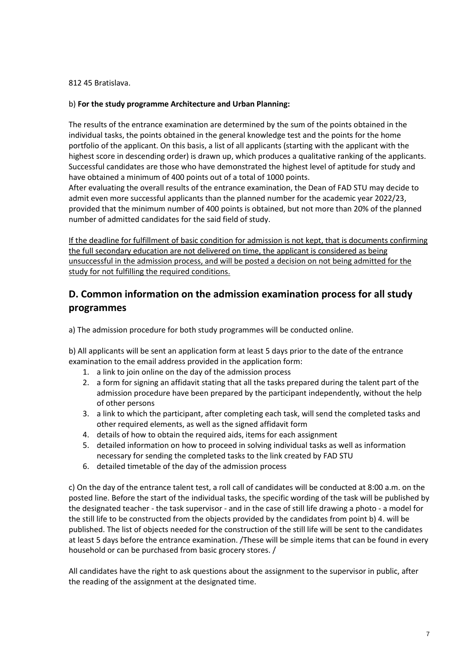#### 812 45 Bratislava.

#### b) **For the study programme Architecture and Urban Planning:**

The results of the entrance examination are determined by the sum of the points obtained in the individual tasks, the points obtained in the general knowledge test and the points for the home portfolio of the applicant. On this basis, a list of all applicants (starting with the applicant with the highest score in descending order) is drawn up, which produces a qualitative ranking of the applicants. Successful candidates are those who have demonstrated the highest level of aptitude for study and have obtained a minimum of 400 points out of a total of 1000 points.

After evaluating the overall results of the entrance examination, the Dean of FAD STU may decide to admit even more successful applicants than the planned number for the academic year 2022/23, provided that the minimum number of 400 points is obtained, but not more than 20% of the planned number of admitted candidates for the said field of study.

If the deadline for fulfillment of basic condition for admission is not kept, that is documents confirming the full secondary education are not delivered on time, the applicant is considered as being unsuccessful in the admission process, and will be posted a decision on not being admitted for the study for not fulfilling the required conditions.

# **D. Common information on the admission examination process for all study programmes**

a) The admission procedure for both study programmes will be conducted online.

b) All applicants will be sent an application form at least 5 days prior to the date of the entrance examination to the email address provided in the application form:

- 1. a link to join online on the day of the admission process
- 2. a form for signing an affidavit stating that all the tasks prepared during the talent part of the admission procedure have been prepared by the participant independently, without the help of other persons
- 3. a link to which the participant, after completing each task, will send the completed tasks and other required elements, as well as the signed affidavit form
- 4. details of how to obtain the required aids, items for each assignment
- 5. detailed information on how to proceed in solving individual tasks as well as information necessary for sending the completed tasks to the link created by FAD STU
- 6. detailed timetable of the day of the admission process

c) On the day of the entrance talent test, a roll call of candidates will be conducted at 8:00 a.m. on the posted line. Before the start of the individual tasks, the specific wording of the task will be published by the designated teacher - the task supervisor - and in the case of still life drawing a photo - a model for the still life to be constructed from the objects provided by the candidates from point b) 4. will be published. The list of objects needed for the construction of the still life will be sent to the candidates at least 5 days before the entrance examination. /These will be simple items that can be found in every household or can be purchased from basic grocery stores. /

All candidates have the right to ask questions about the assignment to the supervisor in public, after the reading of the assignment at the designated time.